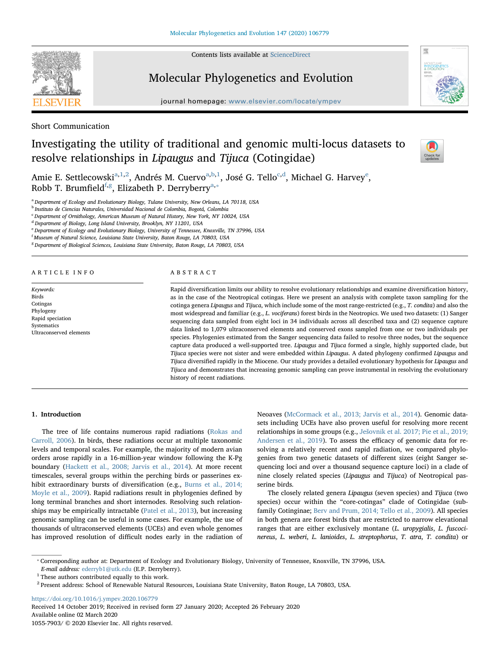Contents lists available at [ScienceDirect](http://www.sciencedirect.com/science/journal/10557903)



# Molecular Phylogenetics and Evolution

journal homepage: [www.elsevier.com/locate/ympev](https://www.elsevier.com/locate/ympev)



Short Communication

# Investigating the utility of traditional and genomic multi-locus datasets to resolve relationships in Lipaugus and Tijuca (Cotingidae)



Amie E. Settlecowski<sup>[a](#page-0-0),[1](#page-0-1)[,2](#page-0-2)</sup>, Andrés M. Cuervo<sup>a,[b](#page-0-3)[,1](#page-0-1)</sup>, José G. Tello<sup>c,[d](#page-0-5)</sup>, Micha[e](#page-0-6)l G. Harvey<sup>e</sup>, Robb T. Brum[f](#page-0-7)ield<sup>f[,g](#page-0-8)</sup>, Elizabeth P. Derryberry<sup>[a,](#page-0-0)\*</sup>

<span id="page-0-0"></span><sup>a</sup> Department of Ecology and Evolutionary Biology, Tulane University, New Orleans, LA 70118, USA

<span id="page-0-3"></span><sup>b</sup> Instituto de Ciencias Naturales, Universidad Nacional de Colombia, Bogotá, Colombia

<span id="page-0-4"></span><sup>c</sup> Department of Ornithology, American Museum of Natural History, New York, NY 10024, USA

<span id="page-0-5"></span><sup>d</sup> Department of Biology, Long Island University, Brooklyn, NY 11201, USA

<span id="page-0-6"></span><sup>e</sup> Department of Ecology and Evolutionary Biology, University of Tennessee, Knoxville, TN 37996, USA

<span id="page-0-8"></span><span id="page-0-7"></span><sup>f</sup> Museum of Natural Science, Louisiana State University, Baton Rouge, LA 70803, USA

<sup>g</sup> Department of Biological Sciences, Louisiana State University, Baton Rouge, LA 70803, USA

#### ARTICLE INFO

Keywords: Birds Cotingas Phylogeny Rapid speciation **Systematics** Ultraconserved elements

#### ABSTRACT

Rapid diversification limits our ability to resolve evolutionary relationships and examine diversification history, as in the case of the Neotropical cotingas. Here we present an analysis with complete taxon sampling for the cotinga genera Lipaugus and Tijuca, which include some of the most range-restricted (e.g., T. condita) and also the most widespread and familiar (e.g., L. vociferans) forest birds in the Neotropics. We used two datasets: (1) Sanger sequencing data sampled from eight loci in 34 individuals across all described taxa and (2) sequence capture data linked to 1,079 ultraconserved elements and conserved exons sampled from one or two individuals per species. Phylogenies estimated from the Sanger sequencing data failed to resolve three nodes, but the sequence capture data produced a well-supported tree. Lipaugus and Tijuca formed a single, highly supported clade, but Tijuca species were not sister and were embedded within Lipaugus. A dated phylogeny confirmed Lipaugus and Tijuca diversified rapidly in the Miocene. Our study provides a detailed evolutionary hypothesis for Lipaugus and Tijuca and demonstrates that increasing genomic sampling can prove instrumental in resolving the evolutionary history of recent radiations.

## 1. Introduction

The tree of life contains numerous rapid radiations [\(Rokas and](#page-5-0) [Carroll, 2006](#page-5-0)). In birds, these radiations occur at multiple taxonomic levels and temporal scales. For example, the majority of modern avian orders arose rapidly in a 16-million-year window following the K-Pg boundary ([Hackett et al., 2008; Jarvis et al., 2014\)](#page-5-1). At more recent timescales, several groups within the perching birds or passerines exhibit extraordinary bursts of diversification (e.g., [Burns et al., 2014;](#page-5-2) [Moyle et al., 2009\)](#page-5-2). Rapid radiations result in phylogenies defined by long terminal branches and short internodes. Resolving such relationships may be empirically intractable [\(Patel et al., 2013](#page-5-3)), but increasing genomic sampling can be useful in some cases. For example, the use of thousands of ultraconserved elements (UCEs) and even whole genomes has improved resolution of difficult nodes early in the radiation of Neoaves ([McCormack et al., 2013; Jarvis et al., 2014\)](#page-5-4). Genomic datasets including UCEs have also proven useful for resolving more recent relationships in some groups (e.g., Ješ[ovnik et al. 2017; Pie et al., 2019;](#page-5-5) [Andersen et al., 2019](#page-5-5)). To assess the efficacy of genomic data for resolving a relatively recent and rapid radiation, we compared phylogenies from two genetic datasets of different sizes (eight Sanger sequencing loci and over a thousand sequence capture loci) in a clade of nine closely related species (Lipaugus and Tijuca) of Neotropical passerine birds.

The closely related genera Lipaugus (seven species) and Tijuca (two species) occur within the "core-cotingas" clade of Cotingidae (subfamily Cotinginae; [Berv and Prum, 2014; Tello et al., 2009](#page-5-6)). All species in both genera are forest birds that are restricted to narrow elevational ranges that are either exclusively montane (L. uropygialis, L. fuscocinereus, L. weberi, L. lanioides, L. streptophorus, T. atra, T. condita) or

E-mail address: [ederryb1@utk.edu](mailto:ederryb1@utk.edu) (E.P. Derryberry).

<https://doi.org/10.1016/j.ympev.2020.106779> Received 14 October 2019; Received in revised form 27 January 2020; Accepted 26 February 2020 Available online 02 March 2020

1055-7903/ © 2020 Elsevier Inc. All rights reserved.

<span id="page-0-9"></span><sup>⁎</sup> Corresponding author at: Department of Ecology and Evolutionary Biology, University of Tennessee, Knoxville, TN 37996, USA.

<span id="page-0-1"></span><sup>&</sup>lt;sup>1</sup> These authors contributed equally to this work.

<span id="page-0-2"></span><sup>&</sup>lt;sup>2</sup> Present address: School of Renewable Natural Resources, Louisiana State University, Baton Rouge, LA 70803, USA.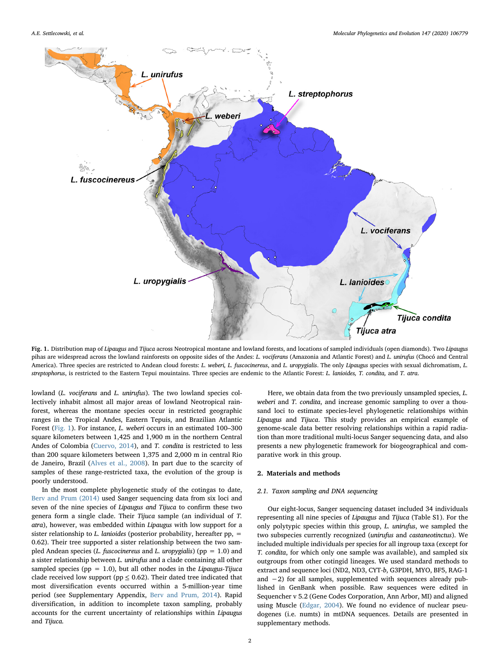<span id="page-1-0"></span>

Fig. 1. Distribution map of Lipaugus and Tijuca across Neotropical montane and lowland forests, and locations of sampled individuals (open diamonds). Two Lipaugus pihas are widespread across the lowland rainforests on opposite sides of the Andes: L. vociferans (Amazonia and Atlantic Forest) and L. unirufus (Chocó and Central America). Three species are restricted to Andean cloud forests: L. weberi, L. fuscocinereus, and L. uropygialis. The only Lipaugus species with sexual dichromatism, L. streptophorus, is restricted to the Eastern Tepui mouintains. Three species are endemic to the Atlantic Forest: L. lanioides, T. condita, and T. atra.

lowland (L. vociferans and L. unirufus). The two lowland species collectively inhabit almost all major areas of lowland Neotropical rainforest, whereas the montane species occur in restricted geographic ranges in the Tropical Andes, Eastern Tepuis, and Brazilian Atlantic Forest ([Fig. 1](#page-1-0)). For instance, L. weberi occurs in an estimated 100–300 square kilometers between 1,425 and 1,900 m in the northern Central Andes of Colombia ([Cuervo, 2014\)](#page-5-7), and T. condita is restricted to less than 200 square kilometers between 1,375 and 2,000 m in central Rio de Janeiro, Brazil [\(Alves et al., 2008\)](#page-5-8). In part due to the scarcity of samples of these range-restricted taxa, the evolution of the group is poorly understood.

In the most complete phylogenetic study of the cotingas to date, [Berv and Prum \(2014\)](#page-5-6) used Sanger sequencing data from six loci and seven of the nine species of Lipaugus and Tijuca to confirm these two genera form a single clade. Their Tijuca sample (an individual of T. atra), however, was embedded within Lipaugus with low support for a sister relationship to L. lanioides (posterior probability, hereafter pp,  $=$ 0.62). Their tree supported a sister relationship between the two sampled Andean species (*L. fuscocinereus* and *L. uropygialis*) ( $pp = 1.0$ ) and a sister relationship between L. unirufus and a clade containing all other sampled species (pp = 1.0), but all other nodes in the Lipaugus-Tijuca clade received low support (pp  $\leq$  0.62). Their dated tree indicated that most diversification events occurred within a 5-million-year time period (see Supplementary Appendix, [Berv and Prum, 2014\)](#page-5-6). Rapid diversification, in addition to incomplete taxon sampling, probably accounts for the current uncertainty of relationships within Lipaugus and Tijuca.

Here, we obtain data from the two previously unsampled species, L. weberi and T. condita, and increase genomic sampling to over a thousand loci to estimate species-level phylogenetic relationships within Lipaugus and Tijuca. This study provides an empirical example of genome-scale data better resolving relationships within a rapid radiation than more traditional multi-locus Sanger sequencing data, and also presents a new phylogenetic framework for biogeographical and comparative work in this group.

#### 2. Materials and methods

## 2.1. Taxon sampling and DNA sequencing

Our eight-locus, Sanger sequencing dataset included 34 individuals representing all nine species of Lipaugus and Tijuca (Table S1). For the only polytypic species within this group, L. unirufus, we sampled the two subspecies currently recognized (unirufus and castaneotinctus). We included multiple individuals per species for all ingroup taxa (except for T. condita, for which only one sample was available), and sampled six outgroups from other cotingid lineages. We used standard methods to extract and sequence loci (ND2, ND3, CYT-b, G3PDH, MYO, BF5, RAG-1 and −2) for all samples, supplemented with sequences already published in GenBank when possible. Raw sequences were edited in Sequencher v 5.2 (Gene Codes Corporation, Ann Arbor, MI) and aligned using Muscle [\(Edgar, 2004](#page-5-9)). We found no evidence of nuclear pseudogenes (i.e. numts) in mtDNA sequences. Details are presented in supplementary methods.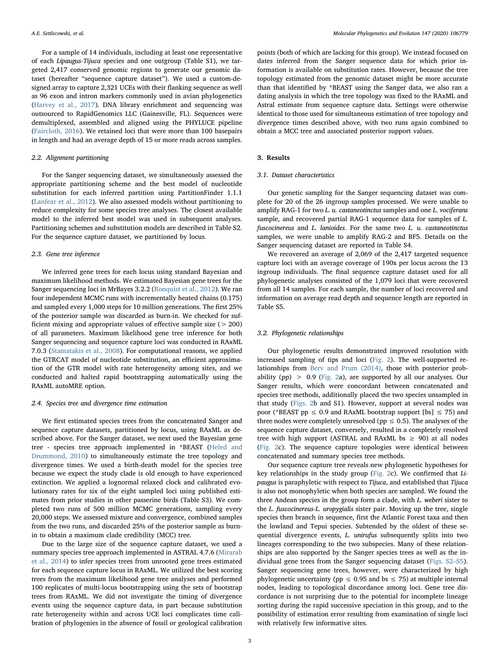For a sample of 14 individuals, including at least one representative of each Lipaugus-Tijuca species and one outgroup (Table S1), we targeted 2,417 conserved genomic regions to generate our genomic dataset (hereafter "sequence capture dataset"). We used a custom-designed array to capture 2,321 UCEs with their flanking sequence as well as 96 exon and intron markers commonly used in avian phylogenetics ([Harvey et al., 2017](#page-5-10)). DNA library enrichment and sequencing was outsourced to RapidGenomics LLC (Gainesville, FL). Sequences were demultiplexed, assembled and aligned using the PHYLUCE pipeline ([Faircloth, 2016](#page-5-11)). We retained loci that were more than 100 basepairs in length and had an average depth of 15 or more reads across samples.

## 2.2. Alignment partitioning

For the Sanger sequencing dataset, we simultaneously assessed the appropriate partitioning scheme and the best model of nucleotide substitution for each inferred partition using PartitionFinder 1.1.1 ([Lanfear et al., 2012](#page-5-12)). We also assessed models without partitioning to reduce complexity for some species tree analyses. The closest available model to the inferred best model was used in subsequent analyses. Partitioning schemes and substitution models are described in Table S2. For the sequence capture dataset, we partitioned by locus.

## 2.3. Gene tree inference

We inferred gene trees for each locus using standard Bayesian and maximum likelihood methods. We estimated Bayesian gene trees for the Sanger sequencing loci in MrBayes 3.2.2 ([Ronquist et al., 2012](#page-5-13)). We ran four independent MCMC runs with incrementally heated chains (0.175) and sampled every 1,000 steps for 10 million generations. The first 25% of the posterior sample was discarded as burn-in. We checked for sufficient mixing and appropriate values of effective sample size (> 200) of all parameters. Maximum likelihood gene tree inference for both Sanger sequencing and sequence capture loci was conducted in RAxML 7.0.3 [\(Stamatakis et al., 2008\)](#page-5-14). For computational reasons, we applied the GTRCAT model of nucleotide substitution, an efficient approximation of the GTR model with rate heterogeneity among sites, and we conducted and halted rapid bootstrapping automatically using the RAxML autoMRE option.

### 2.4. Species tree and divergence time estimation

We first estimated species trees from the concatenated Sanger and sequence capture datasets, partitioned by locus, using RAxML as described above. For the Sanger dataset, we next used the Bayesian gene tree - species tree approach implemented in \*BEAST ([Heled and](#page-5-15) [Drummond, 2010\)](#page-5-15) to simultaneously estimate the tree topology and divergence times. We used a birth-death model for the species tree because we expect the study clade is old enough to have experienced extinction. We applied a lognormal relaxed clock and calibrated evolutionary rates for six of the eight sampled loci using published estimates from prior studies in other passerine birds (Table S3). We completed two runs of 500 million MCMC generations, sampling every 20,000 steps. We assessed mixture and convergence, combined samples from the two runs, and discarded 25% of the posterior sample as burnin to obtain a maximum clade credibility (MCC) tree.

Due to the large size of the sequence capture dataset, we used a summary species tree approach implemented in ASTRAL 4.7.6 ([Mirarab](#page-5-16) [et al., 2014\)](#page-5-16) to infer species trees from unrooted gene trees estimated for each sequence capture locus in RAxML. We utilized the best scoring trees from the maximum likelihood gene tree analyses and performed 100 replicates of multi-locus bootstrapping using the sets of bootstrap trees from RAxML. We did not investigate the timing of divergence events using the sequence capture data, in part because substitution rate heterogeneity within and across UCE loci complicates time calibration of phylogenies in the absence of fossil or geological calibration

points (both of which are lacking for this group). We instead focused on dates inferred from the Sanger sequence data for which prior information is available on substitution rates. However, because the tree topology estimated from the genomic dataset might be more accurate than that identified by \*BEAST using the Sanger data, we also ran a dating analysis in which the tree topology was fixed to the RAxML and Astral estimate from sequence capture data. Settings were otherwise identical to those used for simultaneous estimation of tree topology and divergence times described above, with two runs again combined to obtain a MCC tree and associated posterior support values.

### 3. Results

## 3.1. Dataset characteristics

Our genetic sampling for the Sanger sequencing dataset was complete for 20 of the 26 ingroup samples processed. We were unable to amplify RAG-1 for two L. u. castaneotinctus samples and one L. vociferans sample, and recovered partial RAG-1 sequence data for samples of L. fuscocinereus and L. lanioides. For the same two L. u. castaneotinctus samples, we were unable to amplify RAG-2 and BF5. Details on the Sanger sequencing dataset are reported in Table S4.

We recovered an average of 2,069 of the 2,417 targeted sequence capture loci with an average coverage of 190x per locus across the 13 ingroup individuals. The final sequence capture dataset used for all phylogenetic analyses consisted of the 1,079 loci that were recovered from all 14 samples. For each sample, the number of loci recovered and information on average read depth and sequence length are reported in Table S5.

## 3.2. Phylogenetic relationships

Our phylogenetic results demonstrated improved resolution with increased sampling of tips and loci ([Fig. 2](#page-3-0)). The well-supported relationships from [Berv and Prum \(2014\)](#page-5-6), those with posterior probability (pp)  $> 0.9$  ([Fig. 2a](#page-3-0)), are supported by all our analyses. Our Sanger results, which were concordant between concatenated and species tree methods, additionally placed the two species unsampled in that study [\(Figs. 2b](#page-3-0) and S1). However, support at several nodes was poor (\*BEAST pp  $\leq 0.9$  and RAxML bootstrap support [bs]  $\leq 75$ ) and three nodes were completely unresolved (pp  $\leq$  0.5). The analyses of the sequence capture dataset, conversely, resulted in a completely resolved tree with high support (ASTRAL and RAxML bs  $\geq$  90) at all nodes ([Fig. 2c](#page-3-0)). The sequence capture topologies were identical between concatenated and summary species tree methods.

Our sequence capture tree reveals new phylogenetic hypotheses for key relationships in the study group ([Fig. 2c](#page-3-0)). We confirmed that Lipaugus is paraphyletic with respect to Tijuca, and established that Tijuca is also not monophyletic when both species are sampled. We found the three Andean species in the group form a clade, with L. weberi sister to the L. fuscocinereus-L. uropygialis sister pair. Moving up the tree, single species then branch in sequence, first the Atlantic Forest taxa and then the lowland and Tepui species. Subtended by the oldest of these sequential divergence events, L. unirufus subsequently splits into two lineages corresponding to the two subspecies. Many of these relationships are also supported by the Sanger species trees as well as the individual gene trees from the Sanger sequencing dataset (Figs. S2–S5). Sanger sequencing gene trees, however, were characterized by high phylogenetic uncertainty (pp  $\leq$  0.95 and bs  $\leq$  75) at multiple internal nodes, leading to topological discordance among loci. Gene tree discordance is not surprising due to the potential for incomplete lineage sorting during the rapid successive speciation in this group, and to the possibility of estimation error resulting from examination of single loci with relatively few informative sites.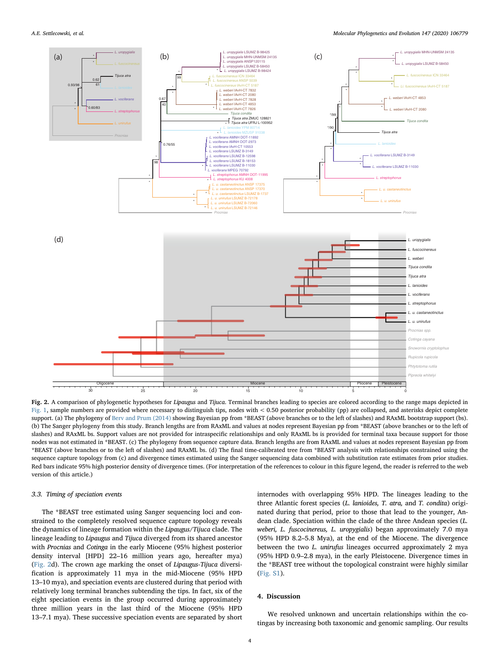<span id="page-3-0"></span>

Fig. 2. A comparison of phylogenetic hypotheses for Lipaugus and Tijuca. Terminal branches leading to species are colored according to the range maps depicted in [Fig. 1,](#page-1-0) sample numbers are provided where necessary to distinguish tips, nodes with < 0.50 posterior probability (pp) are collapsed, and asterisks depict complete support. (a) The phylogeny of [Berv and Prum \(2014\)](#page-5-6) showing Bayesian pp from \*BEAST (above branches or to the left of slashes) and RAxML bootstrap support (bs). (b) The Sanger phylogeny from this study. Branch lengths are from RAxML and values at nodes represent Bayesian pp from \*BEAST (above branches or to the left of slashes) and RAxML bs. Support values are not provided for intraspecific relationships and only RAxML bs is provided for terminal taxa because support for those nodes was not estimated in \*BEAST. (c) The phylogeny from sequence capture data. Branch lengths are from RAxML and values at nodes represent Bayesian pp from \*BEAST (above branches or to the left of slashes) and RAxML bs. (d) The final time-calibrated tree from \*BEAST analysis with relationships constrained using the sequence capture topology from (c) and divergence times estimated using the Sanger sequencing data combined with substitution rate estimates from prior studies. Red bars indicate 95% high posterior density of divergence times. (For interpretation of the references to colour in this figure legend, the reader is referred to the web version of this article.)

## 3.3. Timing of speciation events

The \*BEAST tree estimated using Sanger sequencing loci and constrained to the completely resolved sequence capture topology reveals the dynamics of lineage formation within the Lipaugus/Tijuca clade. The lineage leading to Lipaugus and Tijuca diverged from its shared ancestor with Procnias and Cotinga in the early Miocene (95% highest posterior density interval [HPD] 22–16 million years ago, hereafter mya) ([Fig. 2](#page-3-0)d). The crown age marking the onset of Lipaugus-Tijuca diversification is approximately 11 mya in the mid-Miocene (95% HPD 13–10 mya), and speciation events are clustered during that period with relatively long terminal branches subtending the tips. In fact, six of the eight speciation events in the group occurred during approximately three million years in the last third of the Miocene (95% HPD 13–7.1 mya). These successive speciation events are separated by short internodes with overlapping 95% HPD. The lineages leading to the three Atlantic forest species (L. lanioides, T. atra, and T. condita) originated during that period, prior to those that lead to the younger, Andean clade. Speciation within the clade of the three Andean species (L. weberi, L. fuscocinereus, L. uropygialis) began approximately 7.0 mya (95% HPD 8.2–5.8 Mya), at the end of the Miocene. The divergence between the two L. unirufus lineages occurred approximately 2 mya (95% HPD 0.9–2.8 mya), in the early Pleistocene. Divergence times in the \*BEAST tree without the topological constraint were highly similar (Fig. S1).

## 4. Discussion

We resolved unknown and uncertain relationships within the cotingas by increasing both taxonomic and genomic sampling. Our results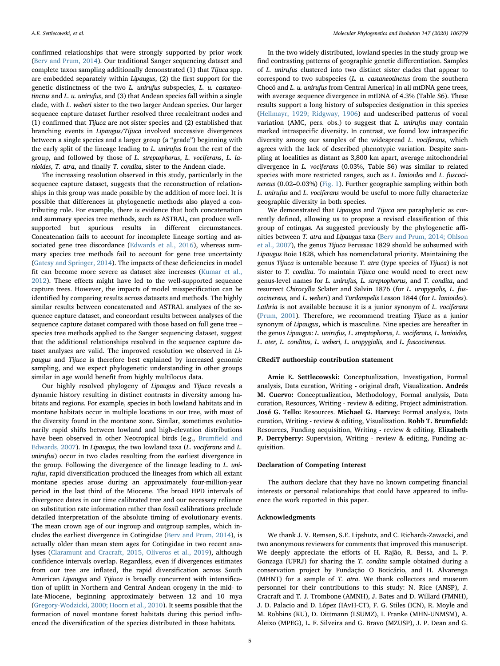confirmed relationships that were strongly supported by prior work ([Berv and Prum, 2014](#page-5-6)). Our traditional Sanger sequencing dataset and complete taxon sampling additionally demonstrated (1) that Tijuca spp. are embedded separately within Lipaugus, (2) the first support for the genetic distinctness of the two L. unirufus subspecies, L. u. castaneotinctus and L. u. unirufus, and (3) that Andean species fall within a single clade, with L. weberi sister to the two larger Andean species. Our larger sequence capture dataset further resolved three recalcitrant nodes and (1) confirmed that Tijuca are not sister species and (2) established that branching events in Lipaugus/Tijuca involved successive divergences between a single species and a larger group (a "grade") beginning with the early split of the lineage leading to L. unirufus from the rest of the group, and followed by those of L. streptophorus, L. vociferans, L. lanioides, T. atra, and finally T. condita, sister to the Andean clade.

The increasing resolution observed in this study, particularly in the sequence capture dataset, suggests that the reconstruction of relationships in this group was made possible by the addition of more loci. It is possible that differences in phylogenetic methods also played a contributing role. For example, there is evidence that both concatenation and summary species tree methods, such as ASTRAL, can produce wellsupported but spurious results in different circumstances. Concatenation fails to account for incomplete lineage sorting and associated gene tree discordance ([Edwards et al., 2016\)](#page-5-17), whereas summary species tree methods fail to account for gene tree uncertainty ([Gatesy and Springer, 2014](#page-5-18)). The impacts of these deficiencies in model fit can become more severe as dataset size increases ([Kumar et al.,](#page-5-19) [2012\)](#page-5-19). These effects might have led to the well-supported sequence capture trees. However, the impacts of model misspecification can be identified by comparing results across datasets and methods. The highly similar results between concatenated and ASTRAL analyses of the sequence capture dataset, and concordant results between analyses of the sequence capture dataset compared with those based on full gene tree – species tree methods applied to the Sanger sequencing dataset, suggest that the additional relationships resolved in the sequence capture dataset analyses are valid. The improved resolution we observed in Lipaugus and Tijuca is therefore best explained by increased genomic sampling, and we expect phylogenetic understanding in other groups similar in age would benefit from highly multilocus data.

Our highly resolved phylogeny of Lipaugus and Tijuca reveals a dynamic history resulting in distinct contrasts in diversity among habitats and regions. For example, species in both lowland habitats and in montane habitats occur in multiple locations in our tree, with most of the diversity found in the montane zone. Similar, sometimes evolutionarily rapid shifts between lowland and high-elevation distributions have been observed in other Neotropical birds (e.g., Brumfi[eld and](#page-5-20) [Edwards, 2007](#page-5-20)). In Lipaugus, the two lowland taxa (L. vociferans and L. unirufus) occur in two clades resulting from the earliest divergence in the group. Following the divergence of the lineage leading to L. unirufus, rapid diversification produced the lineages from which all extant montane species arose during an approximately four-million-year period in the last third of the Miocene. The broad HPD intervals of divergence dates in our time calibrated tree and our necessary reliance on substitution rate information rather than fossil calibrations preclude detailed interpretation of the absolute timing of evolutionary events. The mean crown age of our ingroup and outgroup samples, which includes the earliest divergence in Cotingidae ([Berv and Prum, 2014](#page-5-6)), is actually older than mean stem ages for Cotingidae in two recent analyses ([Claramunt and Cracraft, 2015, Oliveros et al., 2019\)](#page-5-21), although confidence intervals overlap. Regardless, even if divergences estimates from our tree are inflated, the rapid diversification across South American Lipaugus and Tijiuca is broadly concurrent with intensification of uplift in Northern and Central Andean orogeny in the mid- to late-Miocene, beginning approximately between 12 and 10 mya ([Gregory-Wodzicki, 2000; Hoorn et al., 2010](#page-5-22)). It seems possible that the formation of novel montane forest habitats during this period influenced the diversification of the species distributed in those habitats.

In the two widely distributed, lowland species in the study group we find contrasting patterns of geographic genetic differentiation. Samples of L. unirufus clustered into two distinct sister clades that appear to correspond to two subspecies (L. u. castaneotinctus from the southern Chocó and L. u. unirufus from Central America) in all mtDNA gene trees, with average sequence divergence in mtDNA of 4.3% (Table S6). These results support a long history of subspecies designation in this species ([Hellmayr, 1929; Ridgway, 1906\)](#page-5-23) and undescribed patterns of vocal variation (AMC, pers. obs.) to suggest that L. unirufus may contain marked intraspecific diversity. In contrast, we found low intraspecific diversity among our samples of the widespread L. vociferans, which agrees with the lack of described phenotypic variation. Despite sampling at localities as distant as 3,800 km apart, average mitochondrial divergence in L. vociferans (0.03%, Table S6) was similar to related species with more restricted ranges, such as L. lanioides and L. fuscocinereus (0.02–0.03%) ([Fig. 1](#page-1-0)). Further geographic sampling within both L. unirufus and L. vociferans would be useful to more fully characterize geographic diversity in both species.

We demonstrated that Lipaugus and Tijuca are paraphyletic as currently defined, allowing us to propose a revised classification of this group of cotingas. As suggested previously by the phylogenetic affinities between T. atra and Lipaugus taxa ([Berv and Prum, 2014; Ohlson](#page-5-6) [et al., 2007](#page-5-6)), the genus Tijuca Ferussac 1829 should be subsumed with Lipaugus Boie 1828, which has nomenclatural priority. Maintaining the genus Tijuca is untenable because T. atra (type species of Tijuca) is not sister to T. condita. To maintain Tijuca one would need to erect new genus-level names for L. unirufus, L. streptophorus, and T. condita, and resurrect Chirocylla Sclater and Salvin 1876 (for L. uropygialis, L. fuscocinereus, and L. weberi) and Turdampelis Lesson 1844 (for L. lanioides). Lathria is not available because it is a junior synonym of L. vociferans ([Prum, 2001\)](#page-5-24). Therefore, we recommend treating Tijuca as a junior synonym of Lipaugus, which is masculine. Nine species are hereafter in the genus Lipaugus: L. unirufus, L. streptophorus, L. vociferans, L. lanioides, L. ater, L. conditus, L. weberi, L. uropygialis, and L. fuscocinereus.

# CRediT authorship contribution statement

Amie E. Settlecowski: Conceptualization, Investigation, Formal analysis, Data curation, Writing - original draft, Visualization. Andrés M. Cuervo: Conceptualization, Methodology, Formal analysis, Data curation, Resources, Writing - review & editing, Project administration. José G. Tello: Resources. Michael G. Harvey: Formal analysis, Data curation, Writing - review & editing, Visualization. Robb T. Brumfield: Resources, Funding acquisition, Writing - review & editing. Elizabeth P. Derryberry: Supervision, Writing - review & editing, Funding acquisition.

## Declaration of Competing Interest

The authors declare that they have no known competing financial interests or personal relationships that could have appeared to influence the work reported in this paper.

# Acknowledgments

We thank J. V. Remsen, S.E. Lipshutz, and C. Richards-Zawacki, and two anonymous reviewers for comments that improved this manuscript. We deeply appreciate the efforts of H. Rajão, R. Bessa, and L. P. Gonzaga (UFRJ) for sharing the T. condita sample obtained during a conservation project by Fundação O Boticário, and H. Alvarenga (MHNT) for a sample of T. atra. We thank collectors and museum personnel for their contributions to this study: N. Rice (ANSP), J. Cracraft and T. J. Trombone (AMNH), J. Bates and D. Willard (FMNH), J. D. Palacio and D. López (IAvH-CT), F. G. Stiles (ICN), R. Moyle and M. Robbins (KU), D. Dittmann (LSUMZ), I. Franke (MHN-UNMSM), A. Aleixo (MPEG), L. F. Silveira and G. Bravo (MZUSP), J. P. Dean and G.